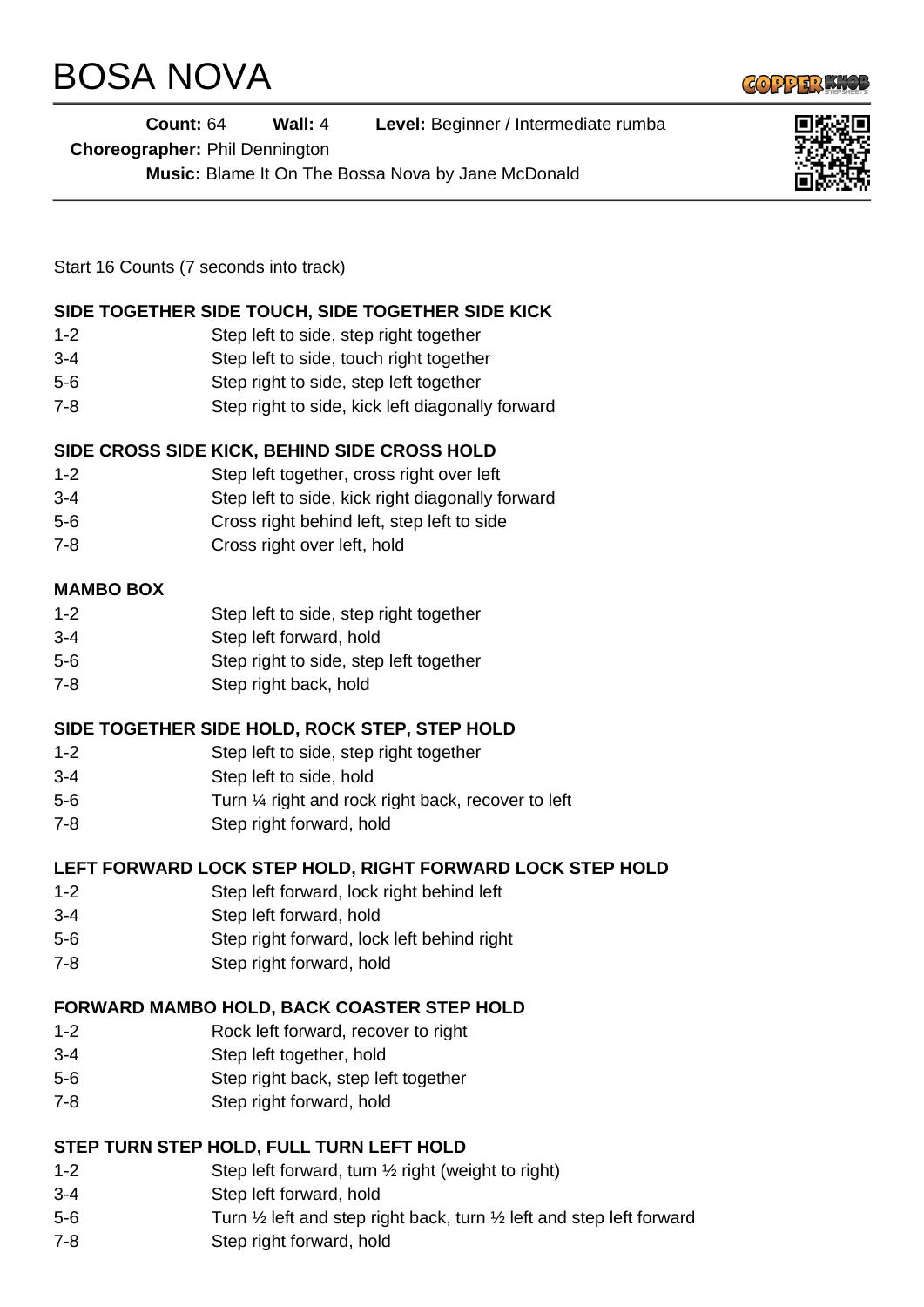# BOSA NOVA



|                  | <b>Count: 64</b><br><b>Choreographer: Phil Dennington</b> | Wall: $4$                                        | Level: Beginner / Intermediate rumba               |  |
|------------------|-----------------------------------------------------------|--------------------------------------------------|----------------------------------------------------|--|
|                  |                                                           |                                                  | Music: Blame It On The Bossa Nova by Jane McDonald |  |
|                  |                                                           |                                                  |                                                    |  |
|                  | Start 16 Counts (7 seconds into track)                    |                                                  |                                                    |  |
|                  |                                                           |                                                  | SIDE TOGETHER SIDE TOUCH, SIDE TOGETHER SIDE KICK  |  |
| $1 - 2$          |                                                           | Step left to side, step right together           |                                                    |  |
| $3 - 4$          |                                                           | Step left to side, touch right together          |                                                    |  |
| $5-6$            |                                                           | Step right to side, step left together           |                                                    |  |
| $7 - 8$          |                                                           | Step right to side, kick left diagonally forward |                                                    |  |
|                  |                                                           |                                                  | SIDE CROSS SIDE KICK, BEHIND SIDE CROSS HOLD       |  |
| $1 - 2$          |                                                           | Step left together, cross right over left        |                                                    |  |
| $3 - 4$          |                                                           | Step left to side, kick right diagonally forward |                                                    |  |
| $5-6$            |                                                           | Cross right behind left, step left to side       |                                                    |  |
| $7 - 8$          |                                                           | Cross right over left, hold                      |                                                    |  |
| <b>MAMBO BOX</b> |                                                           |                                                  |                                                    |  |
| $1 - 2$          |                                                           | Step left to side, step right together           |                                                    |  |
| $3 - 4$          |                                                           | Step left forward, hold                          |                                                    |  |

- 5-6 Step right to side, step left together
- 7-8 Step right back, hold

## **SIDE TOGETHER SIDE HOLD, ROCK STEP, STEP HOLD**

- 1-2 Step left to side, step right together
- 3-4 Step left to side, hold
- 5-6 Turn ¼ right and rock right back, recover to left
- 7-8 Step right forward, hold

## **LEFT FORWARD LOCK STEP HOLD, RIGHT FORWARD LOCK STEP HOLD**

- 1-2 Step left forward, lock right behind left
- 3-4 Step left forward, hold
- 5-6 Step right forward, lock left behind right
- 7-8 Step right forward, hold

## **FORWARD MAMBO HOLD, BACK COASTER STEP HOLD**

- 1-2 Rock left forward, recover to right
- 3-4 Step left together, hold
- 5-6 Step right back, step left together
- 7-8 Step right forward, hold

## **STEP TURN STEP HOLD, FULL TURN LEFT HOLD**

- 1-2 Step left forward, turn ½ right (weight to right)
- 3-4 Step left forward, hold
- 5-6 Turn ½ left and step right back, turn ½ left and step left forward
- 7-8 Step right forward, hold